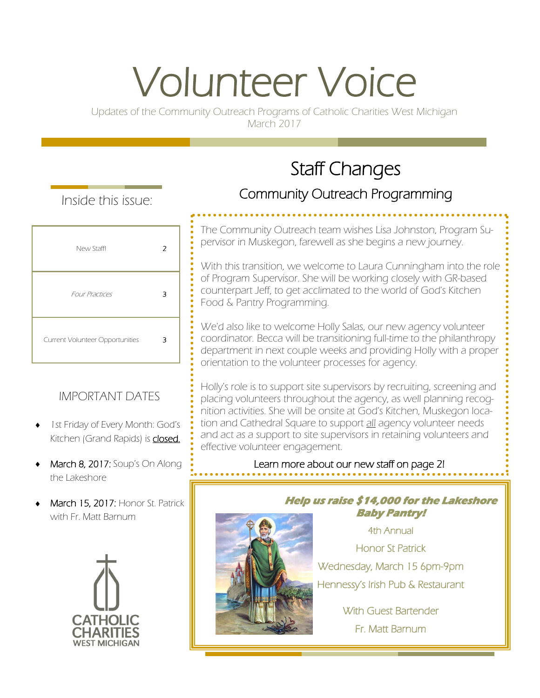# Volunteer Voice

Updates of the Community Outreach Programs of Catholic Charities West Michigan March 2017

## Staff Changes

Inside this issue:

| New Staff!                      | 2 |
|---------------------------------|---|
| <b>Four Practices</b>           | 3 |
| Current Volunteer Opportunities | 3 |

## IMPORTANT DATES

- 1st Friday of Every Month: God's Kitchen (Grand Rapids) is **closed.**
- March 8, 2017: Soup's On Along the Lakeshore
- March 15, 2017: Honor St. Patrick with Fr. Matt Barnum



## Community Outreach Programming

The Community Outreach team wishes Lisa Johnston, Program Supervisor in Muskegon, farewell as she begins a new journey.

With this transition, we welcome to Laura Cunningham into the role of Program Supervisor. She will be working closely with GR-based counterpart Jeff, to get acclimated to the world of God's Kitchen Food & Pantry Programming.

We'd also like to welcome Holly Salas, our new agency volunteer coordinator. Becca will be transitioning full-time to the philanthropy department in next couple weeks and providing Holly with a proper orientation to the volunteer processes for agency.

Holly's role is to support site supervisors by recruiting, screening and placing volunteers throughout the agency, as well planning recognition activities. She will be onsite at God's Kitchen, Muskegon location and Cathedral Square to support all agency volunteer needs and act as a support to site supervisors in retaining volunteers and effective volunteer engagement.

Learn more about our new staff on page 2!



**Help us raise \$14,000 for the Lakeshore Baby Pantry!** 

4th Annual Honor St Patrick Wednesday, March 15 6pm-9pm Hennessy's Irish Pub & Restaurant

With Guest Bartender Fr. Matt Barnum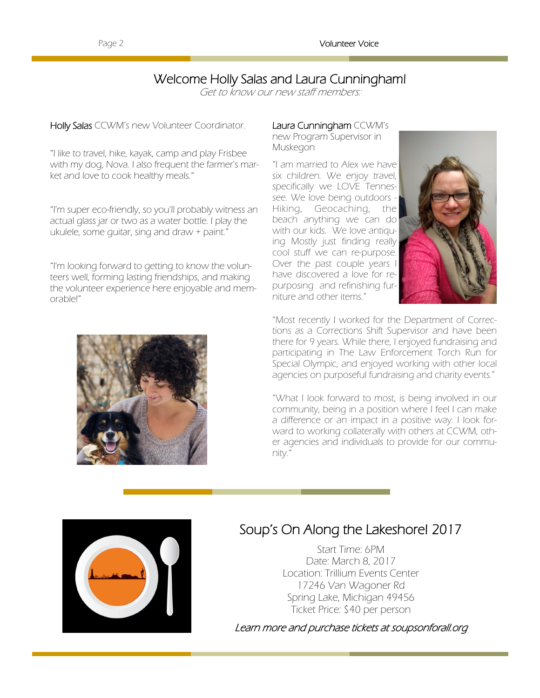## Welcome Holly Salas and Laura Cunningham!

Get to know our new staff members:

Holly Salas CCWM's new Volunteer Coordinator.

"I like to travel, hike, kayak, camp and play Frisbee with my dog, Nova. I also frequent the farmer's market and love to cook healthy meals."

"I'm super eco-friendly, so you'll probably witness an actual glass jar or two as a water bottle. I play the ukulele, some guitar, sing and draw + paint."

"I'm looking forward to getting to know the volunteers well, forming lasting friendships, and making the volunteer experience here enjoyable and memorable!"

#### Laura Cunningham CCWM's

new Program Supervisor in Muskegon

"I am married to Alex we have six children. We enjoy travel, specifically we LOVE Tennessee. We love being outdoors - Hiking, Geocaching, the beach anything we can do with our kids. We love antiquing Mostly just finding really cool stuff we can re-purpose. Over the past couple years I have discovered a love for repurposing and refinishing furniture and other items."



"Most recently I worked for the Department of Corrections as a Corrections Shift Supervisor and have been there for 9 years. While there, I enjoyed fundraising and participating in The Law Enforcement Torch Run for Special Olympic, and enjoyed working with other local agencies on purposeful fundraising and charity events."

"What I look forward to most, is being involved in our community, being in a position where I feel I can make a difference or an impact in a positive way. I look forward to working collaterally with others at CCWM, other agencies and individuals to provide for our community."



## Soup's On Along the Lakeshore! 2017

Start Time: 6PM Date: March 8, 2017 Location: Trillium Events Center 17246 Van Wagoner Rd Spring Lake, Michigan 49456 Ticket Price: \$40 per person

Learn more and purchase tickets at soupsonforall.org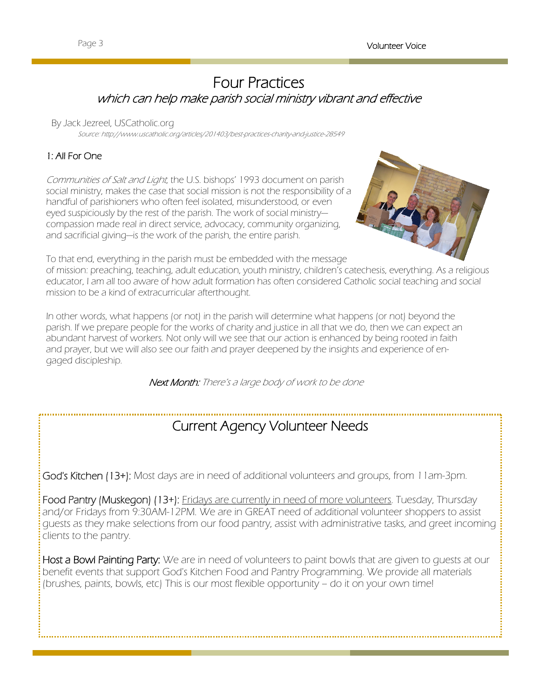## Four Practices which can help make parish social ministry vibrant and effective

#### By Jack Jezreel, USCatholic.org

Source: http://www.uscatholic.org/articles/201403/best-practices-charity-and-justice-28549

#### 1: All For One

Communities of Salt and Light, the U.S. bishops' 1993 document on parish social ministry, makes the case that social mission is not the responsibility of a handful of parishioners who often feel isolated, misunderstood, or even eyed suspiciously by the rest of the parish. The work of social ministry compassion made real in direct service, advocacy, community organizing, and sacrificial giving—is the work of the parish, the entire parish.



To that end, everything in the parish must be embedded with the message

of mission: preaching, teaching, adult education, youth ministry, children's catechesis, everything. As a religious educator, I am all too aware of how adult formation has often considered Catholic social teaching and social mission to be a kind of extracurricular afterthought.

In other words, what happens (or not) in the parish will determine what happens (or not) beyond the parish. If we prepare people for the works of charity and justice in all that we do, then we can expect an abundant harvest of workers. Not only will we see that our action is enhanced by being rooted in faith and prayer, but we will also see our faith and prayer deepened by the insights and experience of engaged discipleship.

Next Month: There's a large body of work to be done

## Current Agency Volunteer Needs

God's Kitchen (13+): Most days are in need of additional volunteers and groups, from 11am-3pm.

Food Pantry (Muskegon) (13+): Fridays are currently in need of more volunteers. Tuesday, Thursday and/or Fridays from 9:30AM-12PM. We are in GREAT need of additional volunteer shoppers to assist guests as they make selections from our food pantry, assist with administrative tasks, and greet incoming clients to the pantry.

Host a Bowl Painting Party: We are in need of volunteers to paint bowls that are given to quests at our benefit events that support God's Kitchen Food and Pantry Programming. We provide all materials (brushes, paints, bowls, etc) This is our most flexible opportunity – do it on your own time!